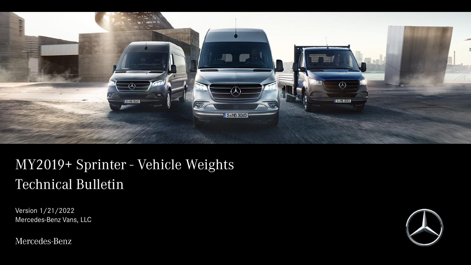

# MY2019+ Sprinter - Vehicle Weights Technical Bulletin

Version 1/21/2022 Mercedes-Benz Vans, LLC

Mercedes-Benz

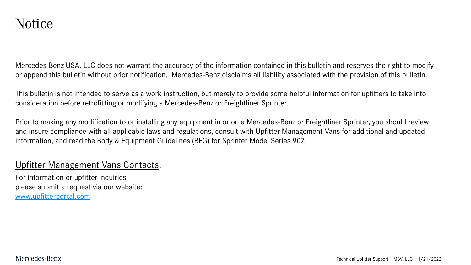Mercedes-Benz USA, LLC does not warrant the accuracy of the information contained in this bulletin and reserves the right to modify or append this bulletin without prior notification. Mercedes-Benz disclaims all liability associated with the provision of this bulletin.

This bulletin is not intended to serve as a work instruction, but merely to provide some helpful information for upfitters to take into consideration before retrofitting or modifying a Mercedes-Benz or Freightliner Sprinter.

Prior to making any modification to or installing any equipment in or on a Mercedes-Benz or Freightliner Sprinter, you should review and insure compliance with all applicable laws and regulations, consult with Upfitter Management Vans for additional and updated information, and read the Body & Equipment Guidelines (BEG) for Sprinter Model Series 907.

#### Upfitter Management Vans Contacts:

For information or upfitter inquiries please submit a request via our website: [www.upfitterportal.com](http://www.upfitterportalcom/)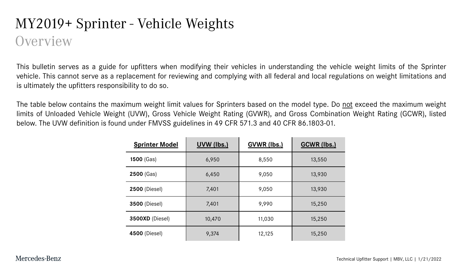#### MY2019+ Sprinter - Vehicle Weights **Overview**

This bulletin serves as a guide for upfitters when modifying their vehicles in understanding the vehicle weight limits of the Sprinter vehicle. This cannot serve as a replacement for reviewing and complying with all federal and local regulations on weight limitations and is ultimately the upfitters responsibility to do so.

The table below contains the maximum weight limit values for Sprinters based on the model type. Do not exceed the maximum weight limits of Unloaded Vehicle Weight (UVW), Gross Vehicle Weight Rating (GVWR), and Gross Combination Weight Rating (GCWR), listed below. The UVW definition is found under FMVSS guidelines in 49 CFR 571.3 and 40 CFR 86.1803-01.

| <b>Sprinter Model</b> | UVW (lbs.) | <b>GVWR (lbs.)</b> | <b>GCWR (lbs.)</b> |
|-----------------------|------------|--------------------|--------------------|
| 1500 (Gas)            | 6,950      | 8,550              | 13,550             |
| 2500 (Gas)            | 6,450      | 9,050              | 13,930             |
| <b>2500 (Diesel)</b>  | 7,401      | 9,050              | 13,930             |
| <b>3500 (Diesel)</b>  | 7,401      | 9,990              | 15,250             |
| 3500XD (Diesel)       | 10,470     | 11,030             | 15,250             |
| <b>4500 (Diesel)</b>  | 9,374      | 12,125             | 15,250             |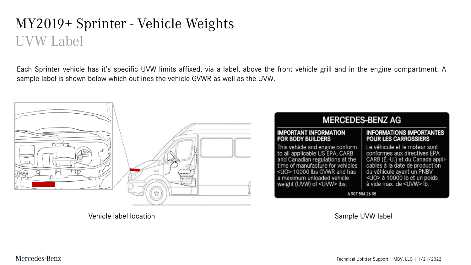### MY2019+ Sprinter - Vehicle Weights UVW Label

Each Sprinter vehicle has it's specific UVW limits affixed, via a label, above the front vehicle grill and in the engine compartment. A sample label is shown below which outlines the vehicle GVWR as well as the UVW.



Vehicle label location Nation Sample UVW label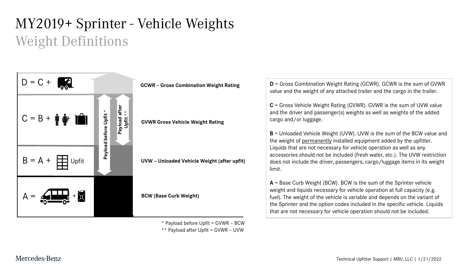# MY2019+ Sprinter - Vehicle Weights Weight Definitions



\* Payload before Upfit = GVWR – BCW

\*\* Payload after Upfit = GVWR – UVW